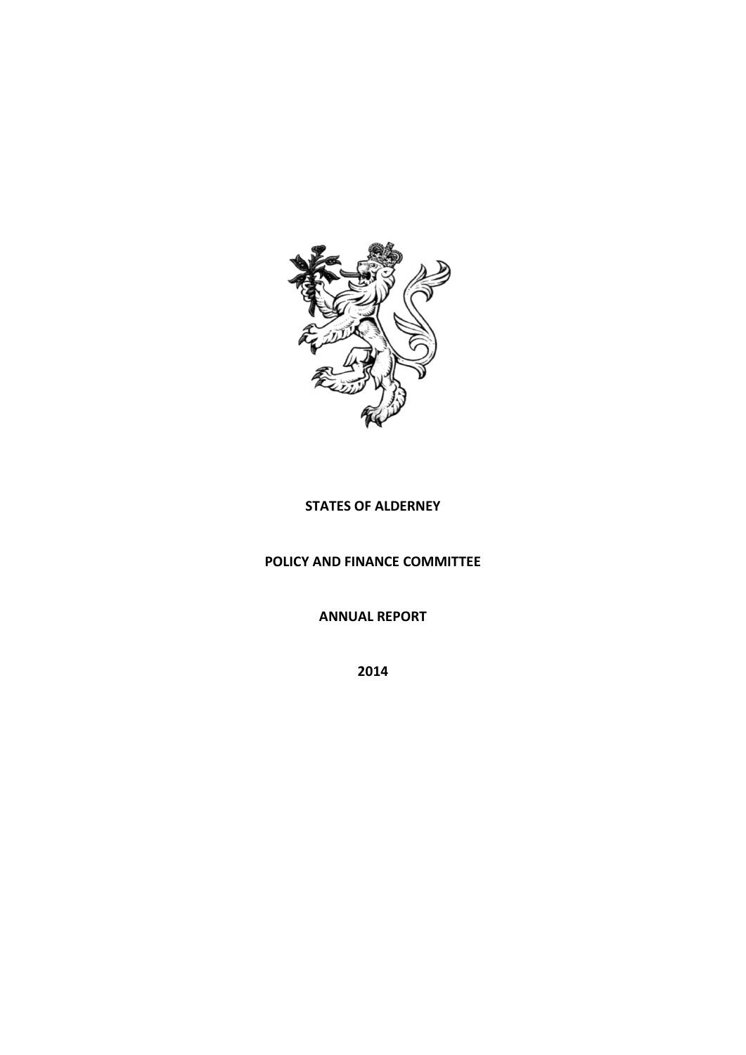

# **STATES OF ALDERNEY**

# **POLICY AND FINANCE COMMITTEE**

**ANNUAL REPORT**

**2014**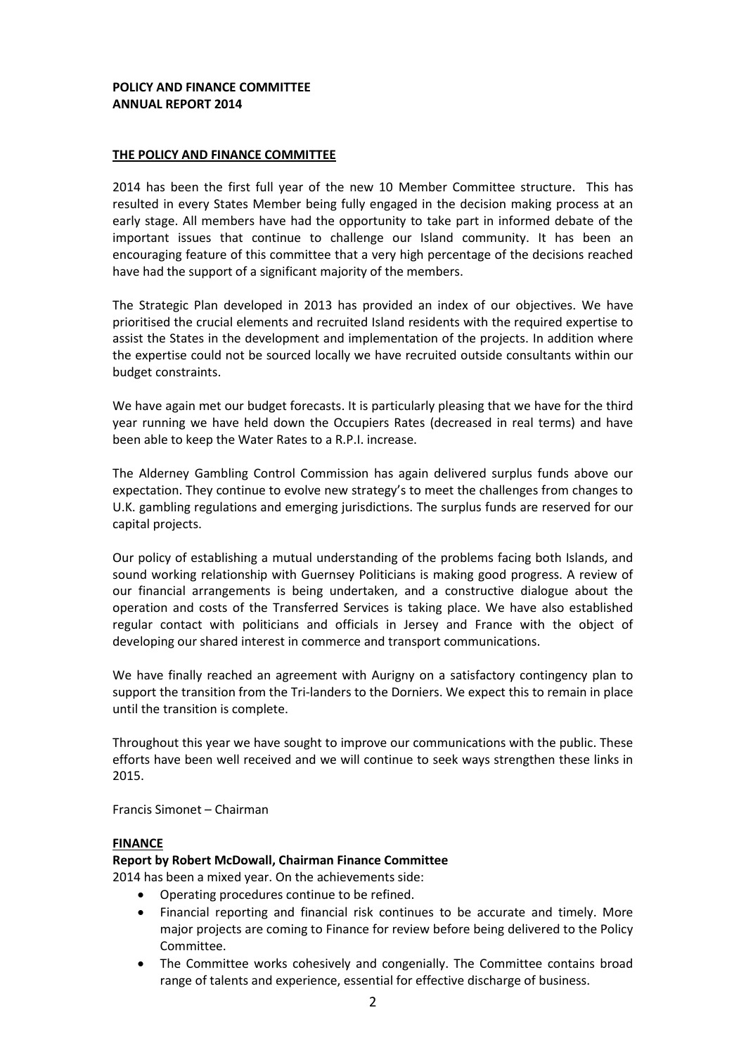### **POLICY AND FINANCE COMMITTEE ANNUAL REPORT 2014**

### **THE POLICY AND FINANCE COMMITTEE**

2014 has been the first full year of the new 10 Member Committee structure. This has resulted in every States Member being fully engaged in the decision making process at an early stage. All members have had the opportunity to take part in informed debate of the important issues that continue to challenge our Island community. It has been an encouraging feature of this committee that a very high percentage of the decisions reached have had the support of a significant majority of the members.

The Strategic Plan developed in 2013 has provided an index of our objectives. We have prioritised the crucial elements and recruited Island residents with the required expertise to assist the States in the development and implementation of the projects. In addition where the expertise could not be sourced locally we have recruited outside consultants within our budget constraints.

We have again met our budget forecasts. It is particularly pleasing that we have for the third year running we have held down the Occupiers Rates (decreased in real terms) and have been able to keep the Water Rates to a R.P.I. increase.

The Alderney Gambling Control Commission has again delivered surplus funds above our expectation. They continue to evolve new strategy's to meet the challenges from changes to U.K. gambling regulations and emerging jurisdictions. The surplus funds are reserved for our capital projects.

Our policy of establishing a mutual understanding of the problems facing both Islands, and sound working relationship with Guernsey Politicians is making good progress. A review of our financial arrangements is being undertaken, and a constructive dialogue about the operation and costs of the Transferred Services is taking place. We have also established regular contact with politicians and officials in Jersey and France with the object of developing our shared interest in commerce and transport communications.

We have finally reached an agreement with Aurigny on a satisfactory contingency plan to support the transition from the Tri-landers to the Dorniers. We expect this to remain in place until the transition is complete.

Throughout this year we have sought to improve our communications with the public. These efforts have been well received and we will continue to seek ways strengthen these links in 2015.

Francis Simonet – Chairman

### **FINANCE**

### **Report by Robert McDowall, Chairman Finance Committee**

2014 has been a mixed year. On the achievements side:

- Operating procedures continue to be refined.
- Financial reporting and financial risk continues to be accurate and timely. More major projects are coming to Finance for review before being delivered to the Policy Committee.
- The Committee works cohesively and congenially. The Committee contains broad range of talents and experience, essential for effective discharge of business.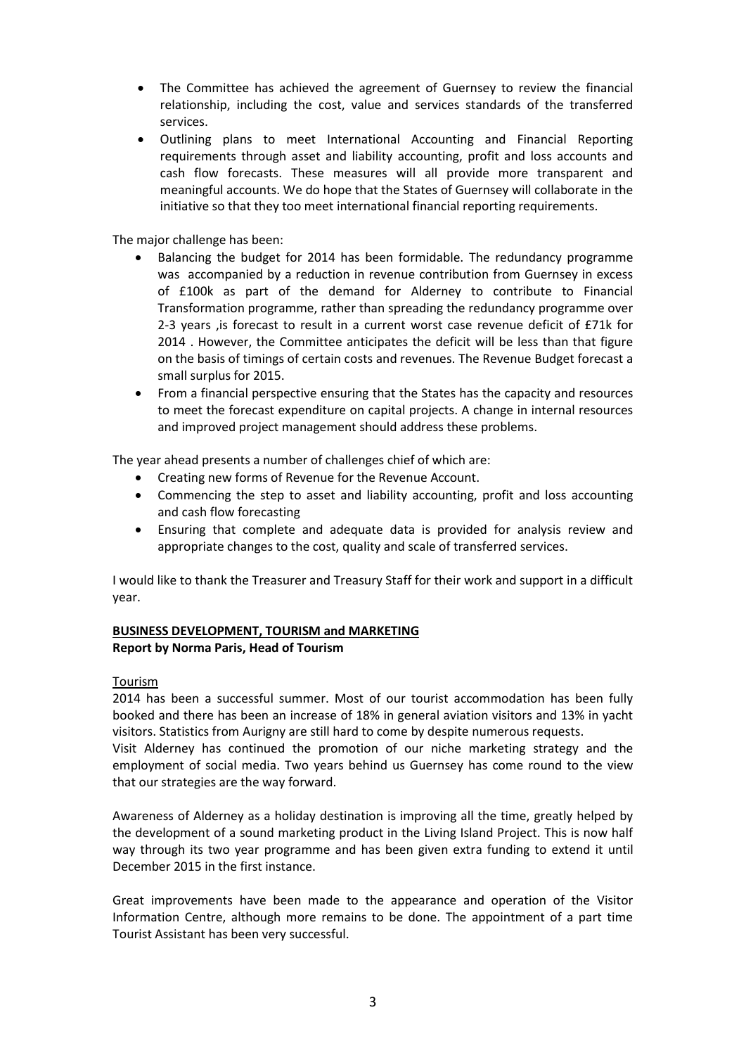- The Committee has achieved the agreement of Guernsey to review the financial relationship, including the cost, value and services standards of the transferred services.
- Outlining plans to meet International Accounting and Financial Reporting requirements through asset and liability accounting, profit and loss accounts and cash flow forecasts. These measures will all provide more transparent and meaningful accounts. We do hope that the States of Guernsey will collaborate in the initiative so that they too meet international financial reporting requirements.

The major challenge has been:

- Balancing the budget for 2014 has been formidable. The redundancy programme was accompanied by a reduction in revenue contribution from Guernsey in excess of £100k as part of the demand for Alderney to contribute to Financial Transformation programme, rather than spreading the redundancy programme over 2-3 years ,is forecast to result in a current worst case revenue deficit of £71k for 2014 . However, the Committee anticipates the deficit will be less than that figure on the basis of timings of certain costs and revenues. The Revenue Budget forecast a small surplus for 2015.
- From a financial perspective ensuring that the States has the capacity and resources to meet the forecast expenditure on capital projects. A change in internal resources and improved project management should address these problems.

The year ahead presents a number of challenges chief of which are:

- Creating new forms of Revenue for the Revenue Account.
- Commencing the step to asset and liability accounting, profit and loss accounting and cash flow forecasting
- Ensuring that complete and adequate data is provided for analysis review and appropriate changes to the cost, quality and scale of transferred services.

I would like to thank the Treasurer and Treasury Staff for their work and support in a difficult year.

## **BUSINESS DEVELOPMENT, TOURISM and MARKETING Report by Norma Paris, Head of Tourism**

### Tourism

2014 has been a successful summer. Most of our tourist accommodation has been fully booked and there has been an increase of 18% in general aviation visitors and 13% in yacht visitors. Statistics from Aurigny are still hard to come by despite numerous requests.

Visit Alderney has continued the promotion of our niche marketing strategy and the employment of social media. Two years behind us Guernsey has come round to the view that our strategies are the way forward.

Awareness of Alderney as a holiday destination is improving all the time, greatly helped by the development of a sound marketing product in the Living Island Project. This is now half way through its two year programme and has been given extra funding to extend it until December 2015 in the first instance.

Great improvements have been made to the appearance and operation of the Visitor Information Centre, although more remains to be done. The appointment of a part time Tourist Assistant has been very successful.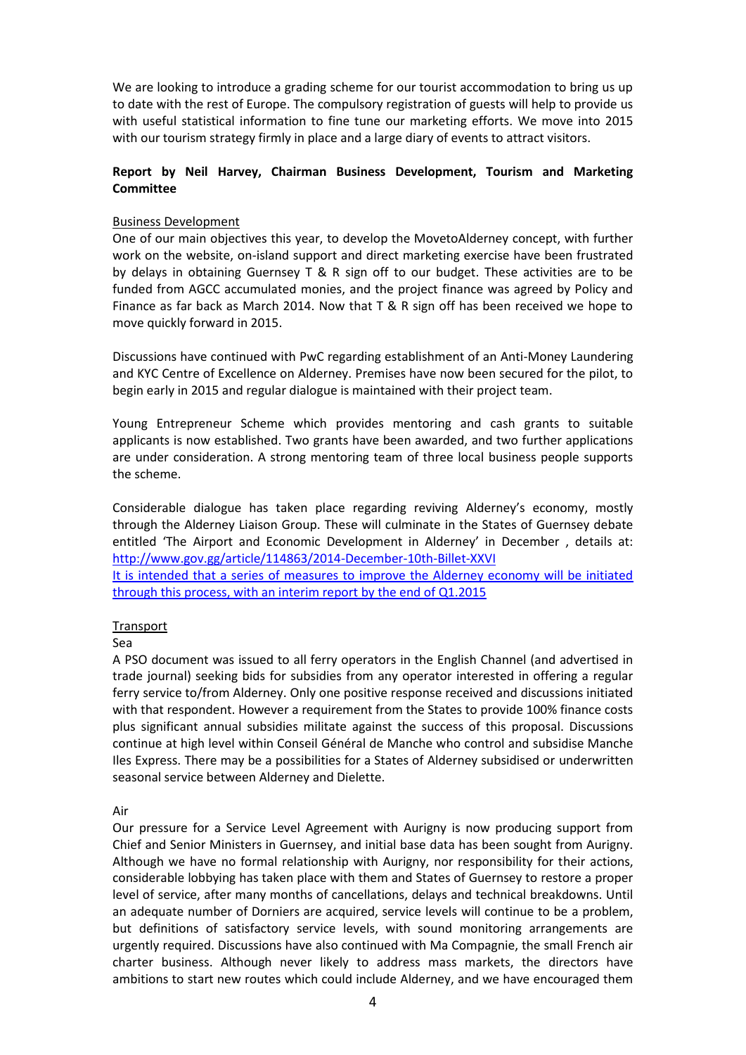We are looking to introduce a grading scheme for our tourist accommodation to bring us up to date with the rest of Europe. The compulsory registration of guests will help to provide us with useful statistical information to fine tune our marketing efforts. We move into 2015 with our tourism strategy firmly in place and a large diary of events to attract visitors.

# **Report by Neil Harvey, Chairman Business Development, Tourism and Marketing Committee**

## Business Development

One of our main objectives this year, to develop the MovetoAlderney concept, with further work on the website, on-island support and direct marketing exercise have been frustrated by delays in obtaining Guernsey T & R sign off to our budget. These activities are to be funded from AGCC accumulated monies, and the project finance was agreed by Policy and Finance as far back as March 2014. Now that T & R sign off has been received we hope to move quickly forward in 2015.

Discussions have continued with PwC regarding establishment of an Anti-Money Laundering and KYC Centre of Excellence on Alderney. Premises have now been secured for the pilot, to begin early in 2015 and regular dialogue is maintained with their project team.

Young Entrepreneur Scheme which provides mentoring and cash grants to suitable applicants is now established. Two grants have been awarded, and two further applications are under consideration. A strong mentoring team of three local business people supports the scheme.

Considerable dialogue has taken place regarding reviving Alderney's economy, mostly through the Alderney Liaison Group. These will culminate in the States of Guernsey debate entitled 'The Airport and Economic Development in Alderney' in December , details at: <http://www.gov.gg/article/114863/2014-December-10th-Billet-XXVI>

It is intended that a series of measures to improve the Alderney economy will be initiated through this process, with an interim report by the end of Q1.2015

### **Transport**

### Sea

A PSO document was issued to all ferry operators in the English Channel (and advertised in trade journal) seeking bids for subsidies from any operator interested in offering a regular ferry service to/from Alderney. Only one positive response received and discussions initiated with that respondent. However a requirement from the States to provide 100% finance costs plus significant annual subsidies militate against the success of this proposal. Discussions continue at high level within Conseil Général de Manche who control and subsidise Manche Iles Express. There may be a possibilities for a States of Alderney subsidised or underwritten seasonal service between Alderney and Dielette.

### Air

Our pressure for a Service Level Agreement with Aurigny is now producing support from Chief and Senior Ministers in Guernsey, and initial base data has been sought from Aurigny. Although we have no formal relationship with Aurigny, nor responsibility for their actions, considerable lobbying has taken place with them and States of Guernsey to restore a proper level of service, after many months of cancellations, delays and technical breakdowns. Until an adequate number of Dorniers are acquired, service levels will continue to be a problem, but definitions of satisfactory service levels, with sound monitoring arrangements are urgently required. Discussions have also continued with Ma Compagnie, the small French air charter business. Although never likely to address mass markets, the directors have ambitions to start new routes which could include Alderney, and we have encouraged them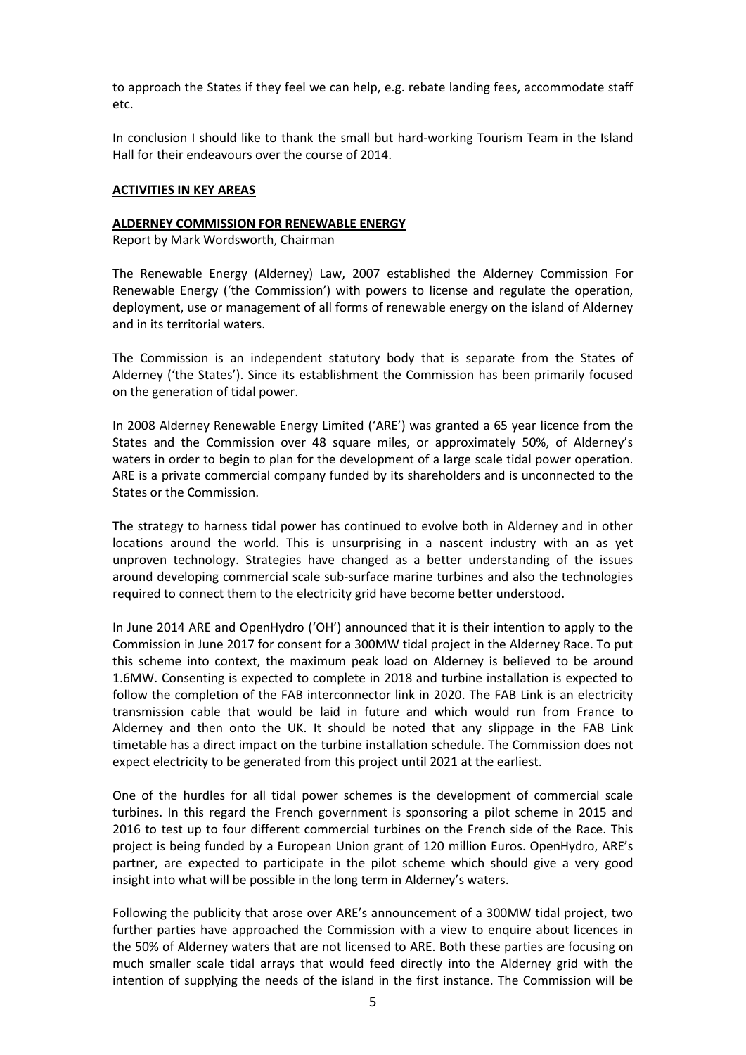to approach the States if they feel we can help, e.g. rebate landing fees, accommodate staff etc.

In conclusion I should like to thank the small but hard-working Tourism Team in the Island Hall for their endeavours over the course of 2014.

### **ACTIVITIES IN KEY AREAS**

#### **ALDERNEY COMMISSION FOR RENEWABLE ENERGY**

Report by Mark Wordsworth, Chairman

The Renewable Energy (Alderney) Law, 2007 established the Alderney Commission For Renewable Energy ('the Commission') with powers to license and regulate the operation, deployment, use or management of all forms of renewable energy on the island of Alderney and in its territorial waters.

The Commission is an independent statutory body that is separate from the States of Alderney ('the States'). Since its establishment the Commission has been primarily focused on the generation of tidal power.

In 2008 Alderney Renewable Energy Limited ('ARE') was granted a 65 year licence from the States and the Commission over 48 square miles, or approximately 50%, of Alderney's waters in order to begin to plan for the development of a large scale tidal power operation. ARE is a private commercial company funded by its shareholders and is unconnected to the States or the Commission.

The strategy to harness tidal power has continued to evolve both in Alderney and in other locations around the world. This is unsurprising in a nascent industry with an as yet unproven technology. Strategies have changed as a better understanding of the issues around developing commercial scale sub‐surface marine turbines and also the technologies required to connect them to the electricity grid have become better understood.

In June 2014 ARE and OpenHydro ('OH') announced that it is their intention to apply to the Commission in June 2017 for consent for a 300MW tidal project in the Alderney Race. To put this scheme into context, the maximum peak load on Alderney is believed to be around 1.6MW. Consenting is expected to complete in 2018 and turbine installation is expected to follow the completion of the FAB interconnector link in 2020. The FAB Link is an electricity transmission cable that would be laid in future and which would run from France to Alderney and then onto the UK. It should be noted that any slippage in the FAB Link timetable has a direct impact on the turbine installation schedule. The Commission does not expect electricity to be generated from this project until 2021 at the earliest.

One of the hurdles for all tidal power schemes is the development of commercial scale turbines. In this regard the French government is sponsoring a pilot scheme in 2015 and 2016 to test up to four different commercial turbines on the French side of the Race. This project is being funded by a European Union grant of 120 million Euros. OpenHydro, ARE's partner, are expected to participate in the pilot scheme which should give a very good insight into what will be possible in the long term in Alderney's waters.

Following the publicity that arose over ARE's announcement of a 300MW tidal project, two further parties have approached the Commission with a view to enquire about licences in the 50% of Alderney waters that are not licensed to ARE. Both these parties are focusing on much smaller scale tidal arrays that would feed directly into the Alderney grid with the intention of supplying the needs of the island in the first instance. The Commission will be